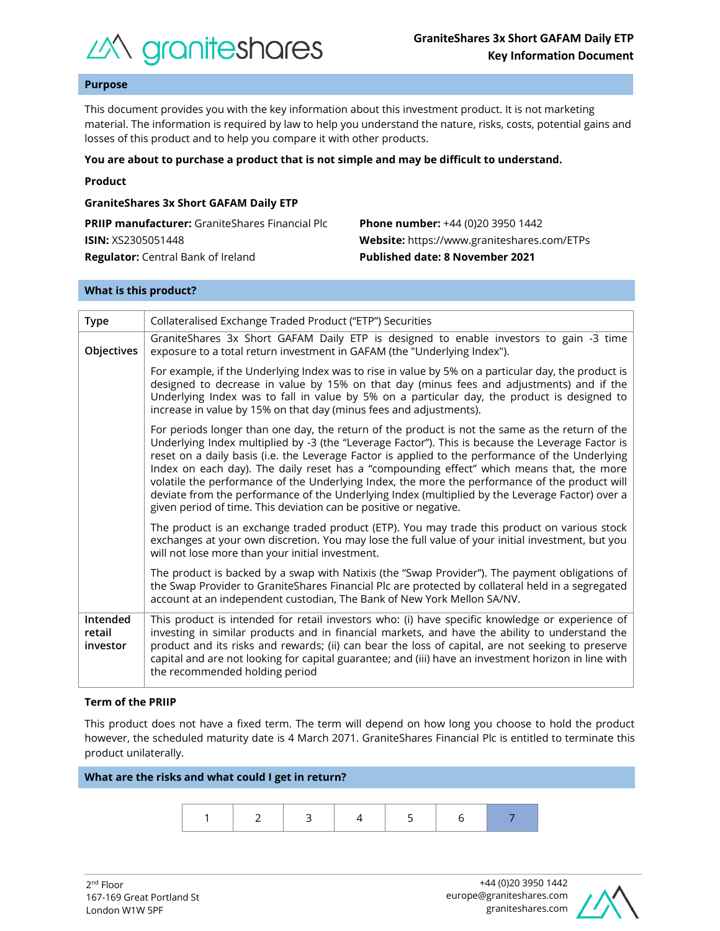

## **Purpose**

This document provides you with the key information about this investment product. It is not marketing material. The information is required by law to help you understand the nature, risks, costs, potential gains and losses of this product and to help you compare it with other products.

### **You are about to purchase a product that is not simple and may be difficult to understand.**

### **Product**

## **GraniteShares 3x Short GAFAM Daily ETP**

| <b>PRIIP manufacturer:</b> GraniteShares Financial Plc | <b>Phone number:</b> +44 (0)20 3950 1442           |
|--------------------------------------------------------|----------------------------------------------------|
| <b>ISIN:</b> XS2305051448                              | <b>Website:</b> https://www.graniteshares.com/ETPs |
| <b>Regulator:</b> Central Bank of Ireland              | <b>Published date: 8 November 2021</b>             |

### **What is this product?**

| <b>Type</b>                    | Collateralised Exchange Traded Product ("ETP") Securities                                                                                                                                                                                                                                                                                                                                                                                                                                                                                                                                                                                                                       |  |  |
|--------------------------------|---------------------------------------------------------------------------------------------------------------------------------------------------------------------------------------------------------------------------------------------------------------------------------------------------------------------------------------------------------------------------------------------------------------------------------------------------------------------------------------------------------------------------------------------------------------------------------------------------------------------------------------------------------------------------------|--|--|
| Objectives                     | GraniteShares 3x Short GAFAM Daily ETP is designed to enable investors to gain -3 time<br>exposure to a total return investment in GAFAM (the "Underlying Index").                                                                                                                                                                                                                                                                                                                                                                                                                                                                                                              |  |  |
|                                | For example, if the Underlying Index was to rise in value by 5% on a particular day, the product is<br>designed to decrease in value by 15% on that day (minus fees and adjustments) and if the<br>Underlying Index was to fall in value by 5% on a particular day, the product is designed to<br>increase in value by 15% on that day (minus fees and adjustments).                                                                                                                                                                                                                                                                                                            |  |  |
|                                | For periods longer than one day, the return of the product is not the same as the return of the<br>Underlying Index multiplied by -3 (the "Leverage Factor"). This is because the Leverage Factor is<br>reset on a daily basis (i.e. the Leverage Factor is applied to the performance of the Underlying<br>Index on each day). The daily reset has a "compounding effect" which means that, the more<br>volatile the performance of the Underlying Index, the more the performance of the product will<br>deviate from the performance of the Underlying Index (multiplied by the Leverage Factor) over a<br>given period of time. This deviation can be positive or negative. |  |  |
|                                | The product is an exchange traded product (ETP). You may trade this product on various stock<br>exchanges at your own discretion. You may lose the full value of your initial investment, but you<br>will not lose more than your initial investment.                                                                                                                                                                                                                                                                                                                                                                                                                           |  |  |
|                                | The product is backed by a swap with Natixis (the "Swap Provider"). The payment obligations of<br>the Swap Provider to GraniteShares Financial Plc are protected by collateral held in a segregated<br>account at an independent custodian, The Bank of New York Mellon SA/NV.                                                                                                                                                                                                                                                                                                                                                                                                  |  |  |
| Intended<br>retail<br>investor | This product is intended for retail investors who: (i) have specific knowledge or experience of<br>investing in similar products and in financial markets, and have the ability to understand the<br>product and its risks and rewards; (ii) can bear the loss of capital, are not seeking to preserve<br>capital and are not looking for capital guarantee; and (iii) have an investment horizon in line with<br>the recommended holding period                                                                                                                                                                                                                                |  |  |

### **Term of the PRIIP**

This product does not have a fixed term. The term will depend on how long you choose to hold the product however, the scheduled maturity date is 4 March 2071. GraniteShares Financial Plc is entitled to terminate this product unilaterally.

# **What are the risks and what could I get in return?**

|--|--|--|

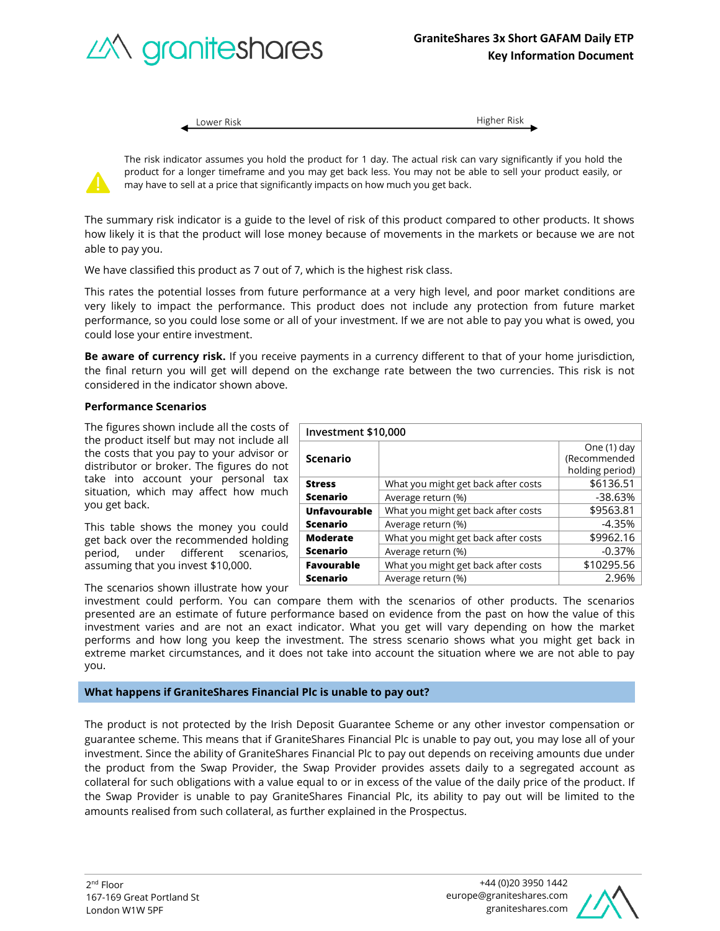

Lower Risk Higher Risk

The risk indicator assumes you hold the product for 1 day. The actual risk can vary significantly if you hold the product for a longer timeframe and you may get back less. You may not be able to sell your product easily, or may have to sell at a price that significantly impacts on how much you get back.

The summary risk indicator is a guide to the level of risk of this product compared to other products. It shows how likely it is that the product will lose money because of movements in the markets or because we are not able to pay you.

We have classified this product as 7 out of 7, which is the highest risk class.

This rates the potential losses from future performance at a very high level, and poor market conditions are very likely to impact the performance. This product does not include any protection from future market performance, so you could lose some or all of your investment. If we are not able to pay you what is owed, you could lose your entire investment.

**Be aware of currency risk.** If you receive payments in a currency different to that of your home jurisdiction, the final return you will get will depend on the exchange rate between the two currencies. This risk is not considered in the indicator shown above.

## **Performance Scenarios**

The figures shown include all the costs of the product itself but may not include all the costs that you pay to your advisor or distributor or broker. The figures do not take into account your personal tax situation, which may affect how much you get back.

This table shows the money you could get back over the recommended holding period, under different scenarios, assuming that you invest \$10,000.

The scenarios shown illustrate how your

| Investment \$10,000 |                                                   |                 |
|---------------------|---------------------------------------------------|-----------------|
|                     |                                                   | One (1) day     |
| <b>Scenario</b>     |                                                   | (Recommended    |
|                     |                                                   | holding period) |
| <b>Stress</b>       | What you might get back after costs               | \$6136.51       |
| <b>Scenario</b>     | Average return (%)                                | $-38.63%$       |
| <b>Unfavourable</b> | \$9563.81<br>What you might get back after costs  |                 |
| <b>Scenario</b>     | Average return (%)                                | $-4.35%$        |
| <b>Moderate</b>     | What you might get back after costs               | \$9962.16       |
| <b>Scenario</b>     | Average return (%)                                | $-0.37%$        |
| <b>Favourable</b>   | \$10295.56<br>What you might get back after costs |                 |
| <b>Scenario</b>     | Average return (%)                                | 2.96%           |

investment could perform. You can compare them with the scenarios of other products. The scenarios presented are an estimate of future performance based on evidence from the past on how the value of this investment varies and are not an exact indicator. What you get will vary depending on how the market performs and how long you keep the investment. The stress scenario shows what you might get back in extreme market circumstances, and it does not take into account the situation where we are not able to pay you.

## **What happens if GraniteShares Financial Plc is unable to pay out?**

The product is not protected by the Irish Deposit Guarantee Scheme or any other investor compensation or guarantee scheme. This means that if GraniteShares Financial Plc is unable to pay out, you may lose all of your investment. Since the ability of GraniteShares Financial Plc to pay out depends on receiving amounts due under the product from the Swap Provider, the Swap Provider provides assets daily to a segregated account as collateral for such obligations with a value equal to or in excess of the value of the daily price of the product. If the Swap Provider is unable to pay GraniteShares Financial Plc, its ability to pay out will be limited to the amounts realised from such collateral, as further explained in the Prospectus.

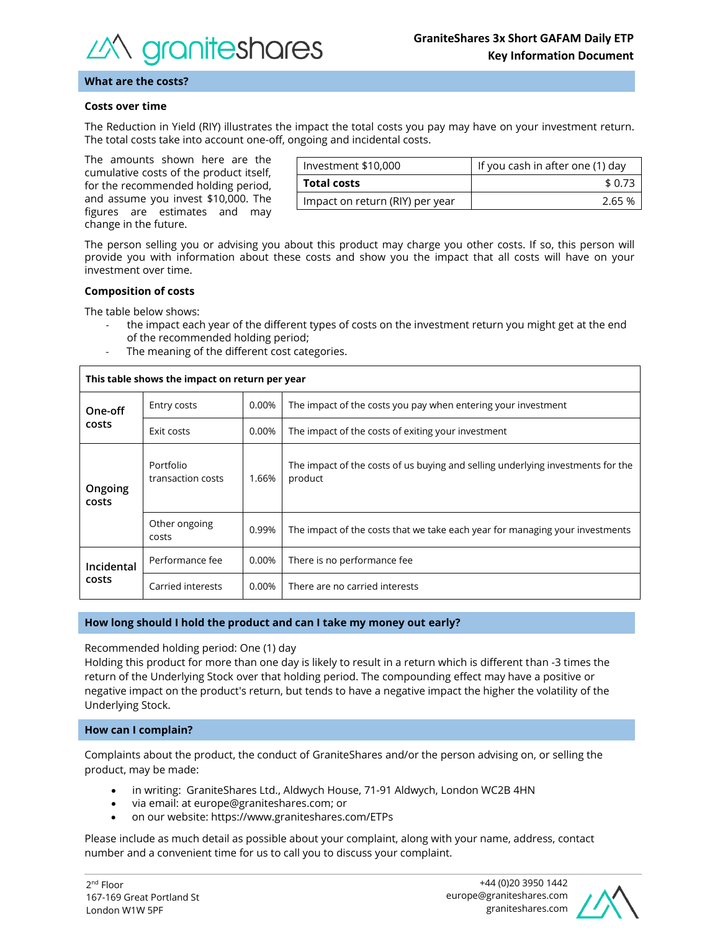

### **What are the costs?**

### **Costs over time**

The Reduction in Yield (RIY) illustrates the impact the total costs you pay may have on your investment return. The total costs take into account one-off, ongoing and incidental costs.

The amounts shown here are the cumulative costs of the product itself, for the recommended holding period, and assume you invest \$10,000. The figures are estimates and may change in the future.

| Investment \$10,000             | If you cash in after one (1) day |  |
|---------------------------------|----------------------------------|--|
| <b>Total costs</b>              | \$ 0.73                          |  |
| Impact on return (RIY) per year | 2.65 %                           |  |

The person selling you or advising you about this product may charge you other costs. If so, this person will provide you with information about these costs and show you the impact that all costs will have on your investment over time.

#### **Composition of costs**

The table below shows:

- the impact each year of the different types of costs on the investment return you might get at the end of the recommended holding period;
	- The meaning of the different cost categories.

| This table shows the impact on return per year |                                |       |                                                                                            |
|------------------------------------------------|--------------------------------|-------|--------------------------------------------------------------------------------------------|
| One-off<br>costs                               | Entry costs                    | 0.00% | The impact of the costs you pay when entering your investment                              |
|                                                | Exit costs                     | 0.00% | The impact of the costs of exiting your investment                                         |
| Ongoing<br>costs                               | Portfolio<br>transaction costs | 1.66% | The impact of the costs of us buying and selling underlying investments for the<br>product |
|                                                | Other ongoing<br>costs         | 0.99% | The impact of the costs that we take each year for managing your investments               |
| Incidental<br>costs                            | Performance fee                | 0.00% | There is no performance fee.                                                               |
|                                                | Carried interests              | 0.00% | There are no carried interests                                                             |

## **How long should I hold the product and can I take my money out early?**

Recommended holding period: One (1) day

Holding this product for more than one day is likely to result in a return which is different than -3 times the return of the Underlying Stock over that holding period. The compounding effect may have a positive or negative impact on the product's return, but tends to have a negative impact the higher the volatility of the Underlying Stock.

### **How can I complain?**

Complaints about the product, the conduct of GraniteShares and/or the person advising on, or selling the product, may be made:

- in writing: GraniteShares Ltd., Aldwych House, 71-91 Aldwych, London WC2B 4HN
- via email: at europe@graniteshares.com; or
- on our website: https://www.graniteshares.com/ETPs

Please include as much detail as possible about your complaint, along with your name, address, contact number and a convenient time for us to call you to discuss your complaint.